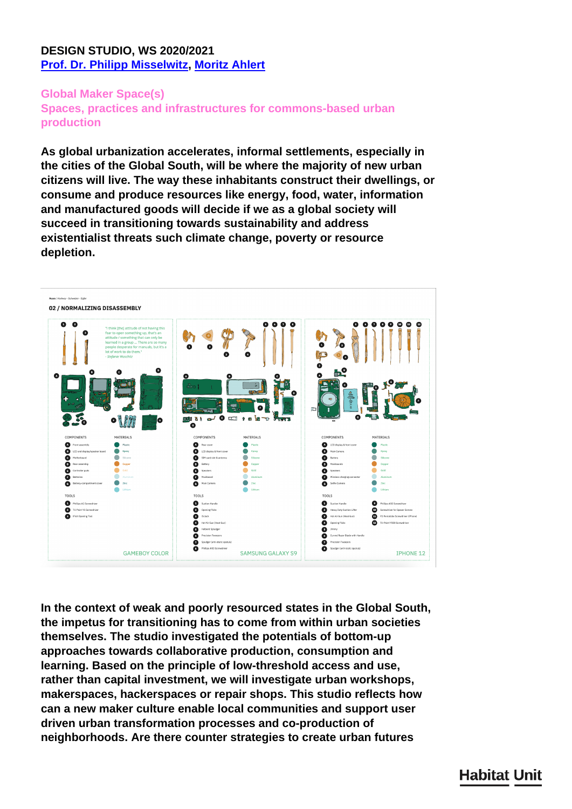# **DESIGN STUDIO, WS 2020/2021 [Prof. Dr. Philipp Misselwitz,](../en/team/philipp-misselwitz/) [Moritz Ahlert](../en/team/mortiz-ahlert/)**

### **Global Maker Space(s)**

**Spaces, practices and infrastructures for commons-based urban production**

**As global urbanization accelerates, informal settlements, especially in the cities of the Global South, will be where the majority of new urban citizens will live. The way these inhabitants construct their dwellings, or consume and produce resources like energy, food, water, information and manufactured goods will decide if we as a global society will succeed in transitioning towards sustainability and address existentialist threats such climate change, poverty or resource depletion.** 



**In the context of weak and poorly resourced states in the Global South, the impetus for transitioning has to come from within urban societies themselves. The studio investigated the potentials of bottom-up approaches towards collaborative production, consumption and learning. Based on the principle of low-threshold access and use, rather than capital investment, we will investigate urban workshops, makerspaces, hackerspaces or repair shops. This studio reflects how can a new maker culture enable local communities and support user driven urban transformation processes and co-production of neighborhoods. Are there counter strategies to create urban futures**

# **Habitat Unit**